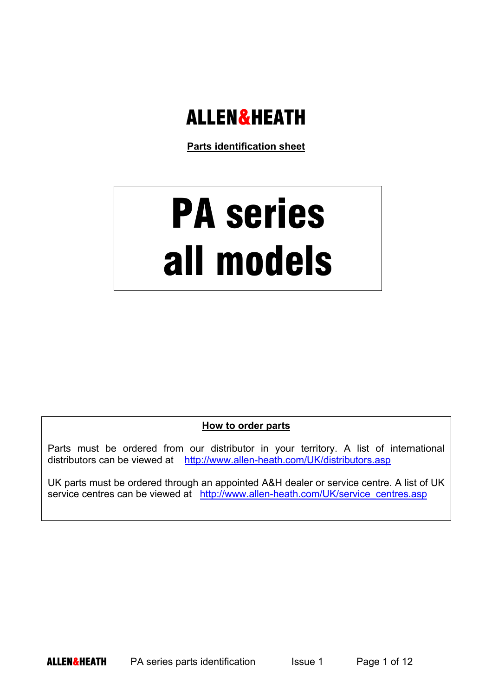## **ALLEN&HEATH**

**Parts identification sheet**

## PA series all models

**How to order parts**

Parts must be ordered from our distributor in your territory. A list of international distributors can be viewed at http://www.allen-heath.com/UK/distributors.asp

UK parts must be ordered through an appointed A&H dealer or service centre. A list of UK service centres can be viewed at http://www.allen-heath.com/UK/service\_centres.asp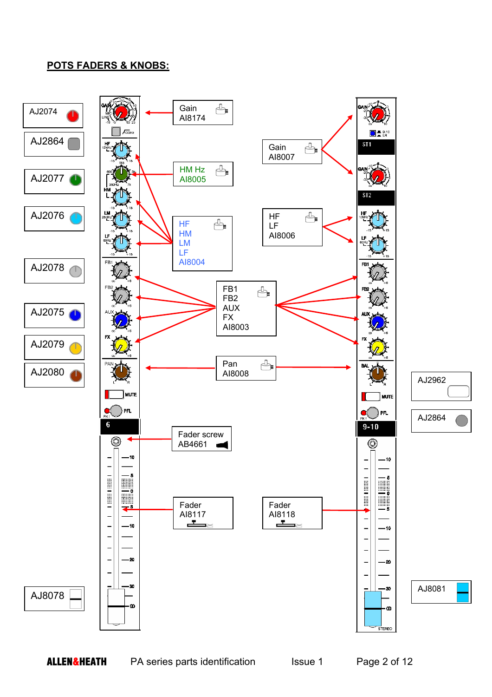## **POTS FADERS & KNOBS:**

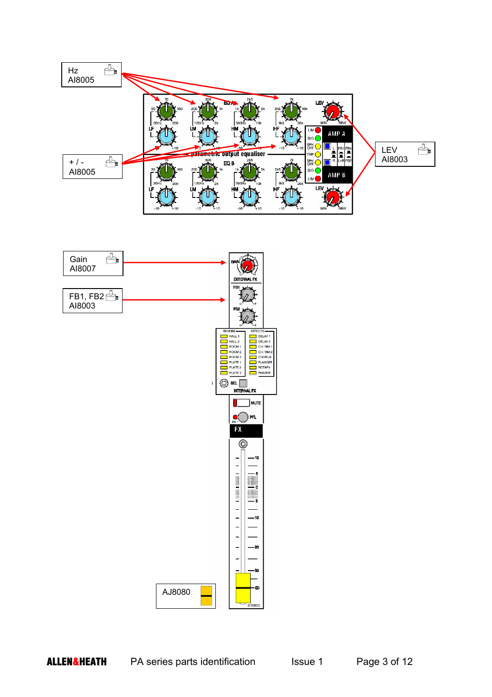

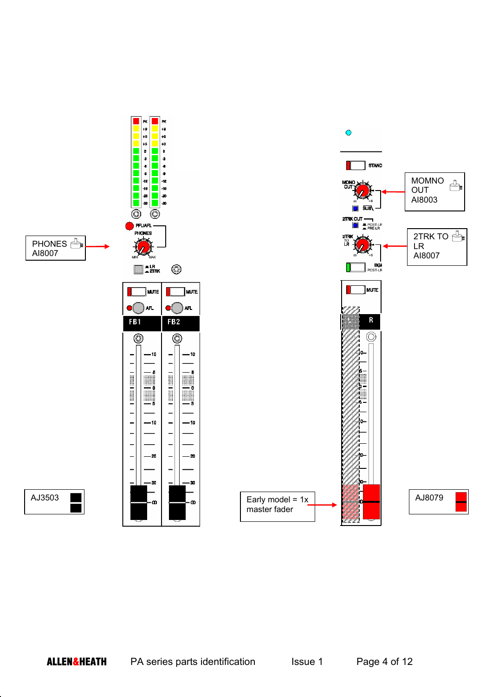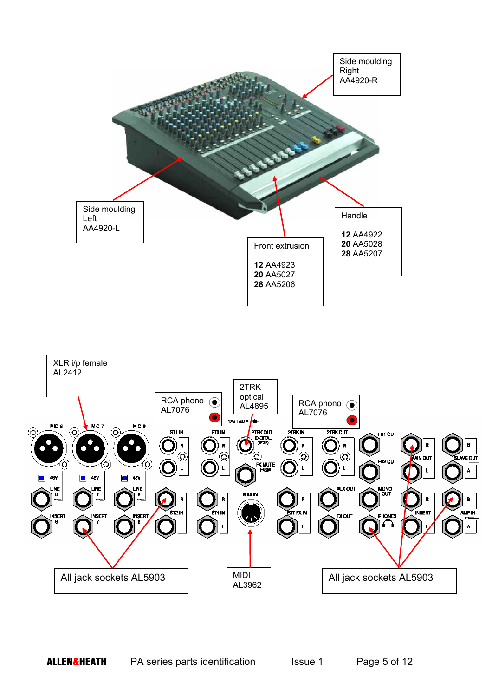![](_page_4_Figure_0.jpeg)

![](_page_4_Figure_1.jpeg)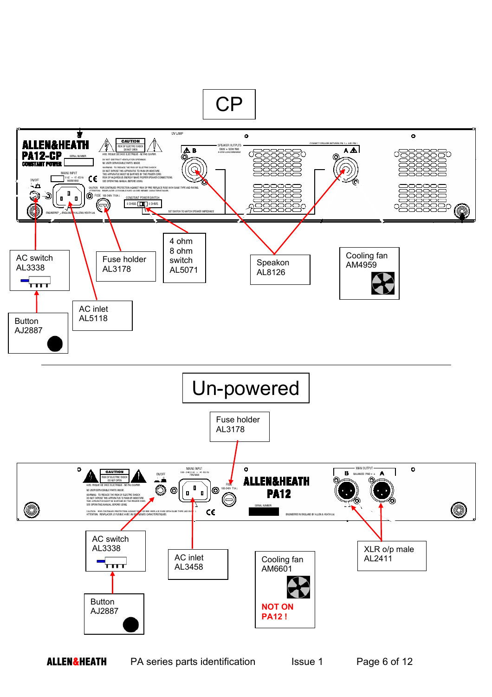![](_page_5_Figure_0.jpeg)

**ALLEN&HEATH** PA series parts identification Issue 1 Page 6 of 12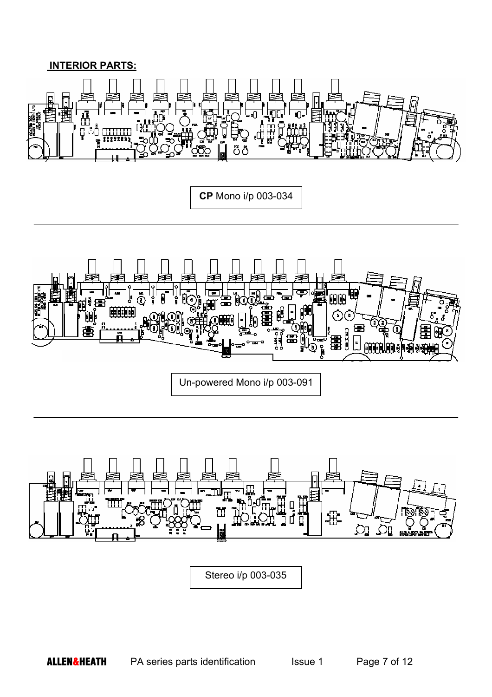## **INTERIOR PARTS:**

![](_page_6_Picture_1.jpeg)

**CP** Mono i/p 003-034

![](_page_6_Picture_3.jpeg)

![](_page_6_Figure_4.jpeg)

Stereo i/p 003-035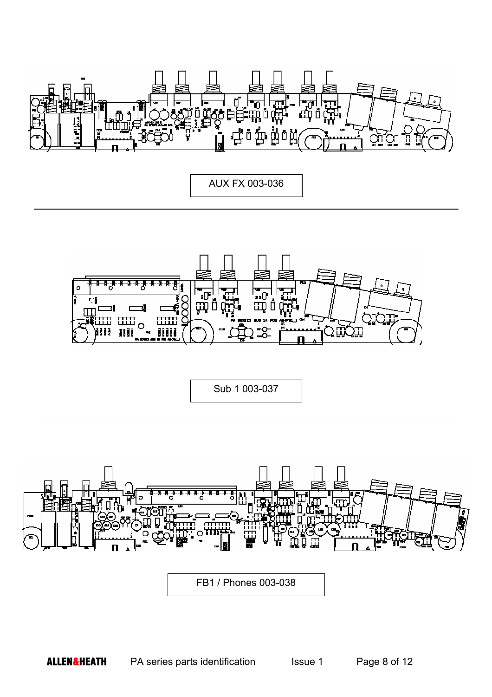![](_page_7_Picture_0.jpeg)

AUX FX 003-036

![](_page_7_Picture_2.jpeg)

Sub 1 003-037

![](_page_7_Figure_4.jpeg)

FB1 / Phones 003-038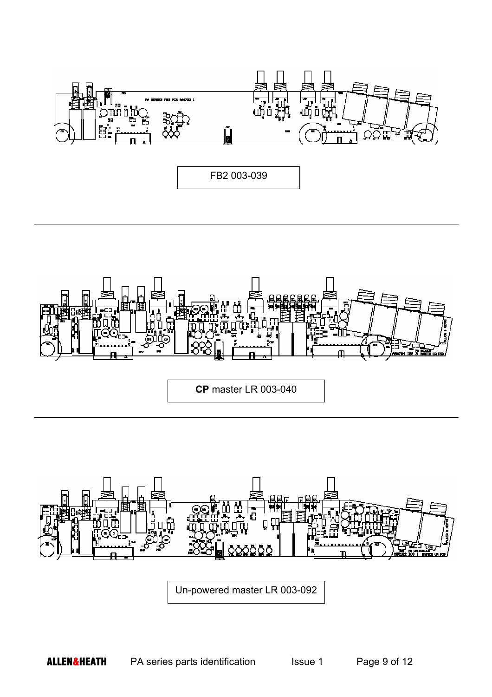![](_page_8_Figure_0.jpeg)

![](_page_8_Picture_1.jpeg)

**CP** master LR 003-040

![](_page_8_Figure_3.jpeg)

Un-powered master LR 003-092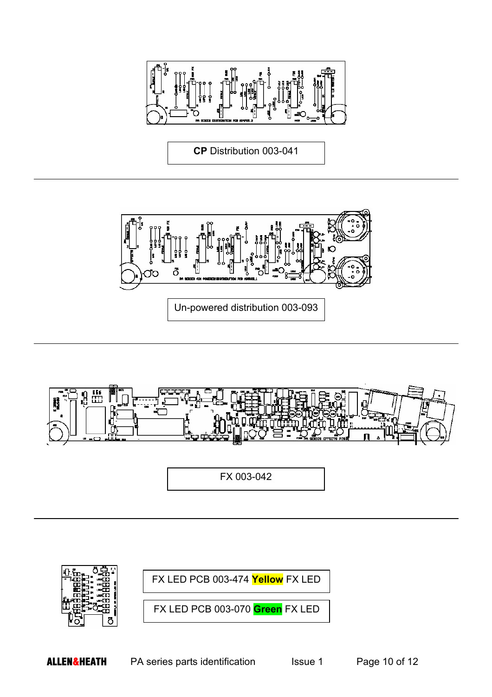![](_page_9_Picture_0.jpeg)

**CP** Distribution 003-041

![](_page_9_Picture_2.jpeg)

![](_page_9_Figure_3.jpeg)

FX 003-042

![](_page_9_Picture_5.jpeg)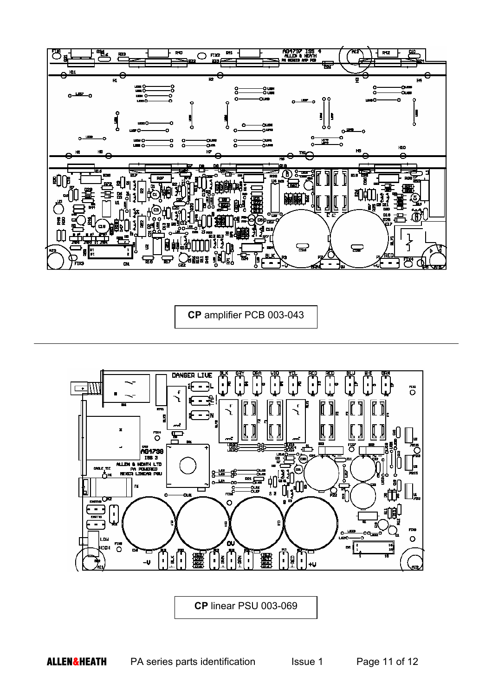![](_page_10_Figure_0.jpeg)

**CP** amplifier PCB 003-043

![](_page_10_Figure_2.jpeg)

**CP** linear PSU 003-069